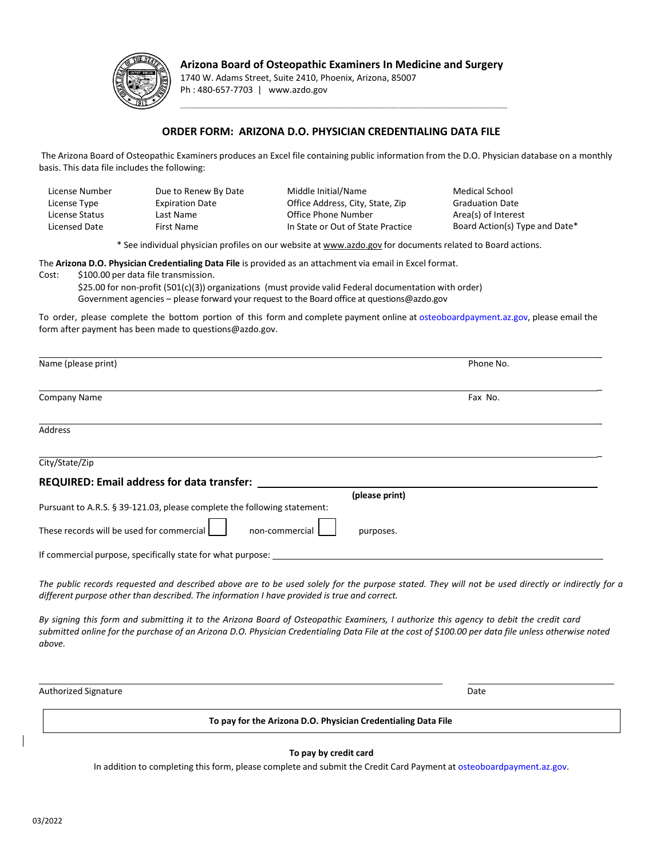

## **Arizona Board of Osteopathic Examiners In Medicine and Surgery**

\_\_\_\_\_\_\_\_\_\_\_\_\_\_\_\_\_\_\_\_\_\_\_\_\_\_\_\_\_\_\_\_\_\_\_\_\_\_\_\_\_\_\_\_\_\_\_\_\_\_\_\_\_\_\_\_\_\_\_\_\_\_\_\_\_\_\_\_\_\_\_\_\_\_\_\_\_\_\_\_\_\_\_\_\_\_\_\_\_\_\_\_\_\_\_\_\_\_\_\_\_\_\_\_\_\_\_\_\_\_\_\_\_\_\_\_\_\_\_\_\_

1740 W. Adams Street, Suite 2410, Phoenix, Arizona, 85007 Ph : 480-657-7703 | www.azdo.gov

## **ORDER FORM: ARIZONA D.O. PHYSICIAN CREDENTIALING DATA FILE**

The Arizona Board of Osteopathic Examiners produces an Excel file containing public information from the D.O. Physician database on a monthly basis. This data file includes the following:

| Due to Renew By Date   | Middle Initial/Name               | Medical School                 |
|------------------------|-----------------------------------|--------------------------------|
| <b>Expiration Date</b> | Office Address, City, State, Zip  | <b>Graduation Date</b>         |
| Last Name              | Office Phone Number               | Area(s) of Interest            |
| First Name             | In State or Out of State Practice | Board Action(s) Type and Date* |
|                        |                                   |                                |

\* See individual physician profiles on our website at [www.azdo.gov f](http://www.azdo.gov/)or documents related to Board actions.

The **Arizona D.O. Physician Credentialing Data File** is provided as an attachment via email in Excel format. Cost: \$100.00 per data file transmission.

\$25.00 for non-profit (501(c)(3)) organizations (must provide valid Federal documentation with order) Government agencies – please forward your request to the Board office at questions@azdo.gov

To order, please complete the bottom portion of this form and complete payment online at [osteoboardpayment.az.gov,](https://osteoboardpayment.az.gov/) please email the form after payment has been made to questions@azdo.gov.

| To pay for the Arizona D.O. Physician Credentialing Data File                                                                                                                                                                                                                                           |                |  |  |
|---------------------------------------------------------------------------------------------------------------------------------------------------------------------------------------------------------------------------------------------------------------------------------------------------------|----------------|--|--|
| <b>Authorized Signature</b>                                                                                                                                                                                                                                                                             | Date           |  |  |
| By signing this form and submitting it to the Arizona Board of Osteopathic Examiners, I authorize this agency to debit the credit card<br>submitted online for the purchase of an Arizona D.O. Physician Credentialing Data File at the cost of \$100.00 per data file unless otherwise noted<br>above. |                |  |  |
| The public records requested and described above are to be used solely for the purpose stated. They will not be used directly or indirectly for a<br>different purpose other than described. The information I have provided is true and correct.                                                       |                |  |  |
| If commercial purpose, specifically state for what purpose:                                                                                                                                                                                                                                             |                |  |  |
| These records will be used for commercial<br>non-commercial                                                                                                                                                                                                                                             | purposes.      |  |  |
| Pursuant to A.R.S. § 39-121.03, please complete the following statement:                                                                                                                                                                                                                                | (please print) |  |  |
| <b>REQUIRED: Email address for data transfer:</b>                                                                                                                                                                                                                                                       |                |  |  |
| City/State/Zip                                                                                                                                                                                                                                                                                          |                |  |  |
| <b>Address</b>                                                                                                                                                                                                                                                                                          |                |  |  |
| <b>Company Name</b>                                                                                                                                                                                                                                                                                     | Fax No.        |  |  |
| Name (please print)                                                                                                                                                                                                                                                                                     | Phone No.      |  |  |
|                                                                                                                                                                                                                                                                                                         |                |  |  |

In addition to completing this form, please complete and submit the Credit Card Payment at osteoboardpayment.az.gov.